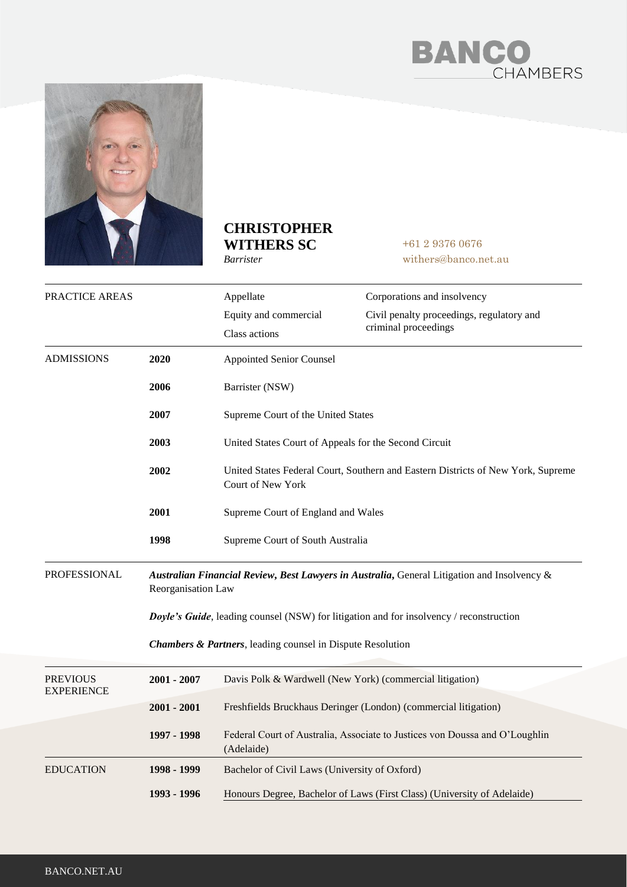



## **CHRISTOPHER WITHERS SC**

*Barrister*

+61 2 9376 0676 withers@banco.net.au

| PRACTICE AREAS                       |                                                                                                                   | Appellate                                                                                             | Corporations and insolvency                                                 |
|--------------------------------------|-------------------------------------------------------------------------------------------------------------------|-------------------------------------------------------------------------------------------------------|-----------------------------------------------------------------------------|
|                                      |                                                                                                                   | Equity and commercial<br>Class actions                                                                | Civil penalty proceedings, regulatory and<br>criminal proceedings           |
| <b>ADMISSIONS</b>                    | 2020                                                                                                              | <b>Appointed Senior Counsel</b>                                                                       |                                                                             |
|                                      | 2006                                                                                                              | Barrister (NSW)                                                                                       |                                                                             |
|                                      | 2007                                                                                                              | Supreme Court of the United States                                                                    |                                                                             |
|                                      | 2003                                                                                                              | United States Court of Appeals for the Second Circuit                                                 |                                                                             |
|                                      | 2002                                                                                                              | United States Federal Court, Southern and Eastern Districts of New York, Supreme<br>Court of New York |                                                                             |
|                                      | 2001                                                                                                              | Supreme Court of England and Wales                                                                    |                                                                             |
|                                      | 1998                                                                                                              | Supreme Court of South Australia                                                                      |                                                                             |
| <b>PROFESSIONAL</b>                  | Australian Financial Review, Best Lawyers in Australia, General Litigation and Insolvency &<br>Reorganisation Law |                                                                                                       |                                                                             |
|                                      | Doyle's Guide, leading counsel (NSW) for litigation and for insolvency / reconstruction                           |                                                                                                       |                                                                             |
|                                      | <b>Chambers &amp; Partners</b> , leading counsel in Dispute Resolution                                            |                                                                                                       |                                                                             |
| <b>PREVIOUS</b><br><b>EXPERIENCE</b> | 2001 - 2007                                                                                                       | Davis Polk & Wardwell (New York) (commercial litigation)                                              |                                                                             |
|                                      | $2001 - 2001$                                                                                                     |                                                                                                       | Freshfields Bruckhaus Deringer (London) (commercial litigation)             |
|                                      | 1997 - 1998                                                                                                       | (Adelaide)                                                                                            | Federal Court of Australia, Associate to Justices von Doussa and O'Loughlin |
| <b>EDUCATION</b>                     | 1998 - 1999                                                                                                       | Bachelor of Civil Laws (University of Oxford)                                                         |                                                                             |
|                                      | 1993 - 1996                                                                                                       |                                                                                                       | Honours Degree, Bachelor of Laws (First Class) (University of Adelaide)     |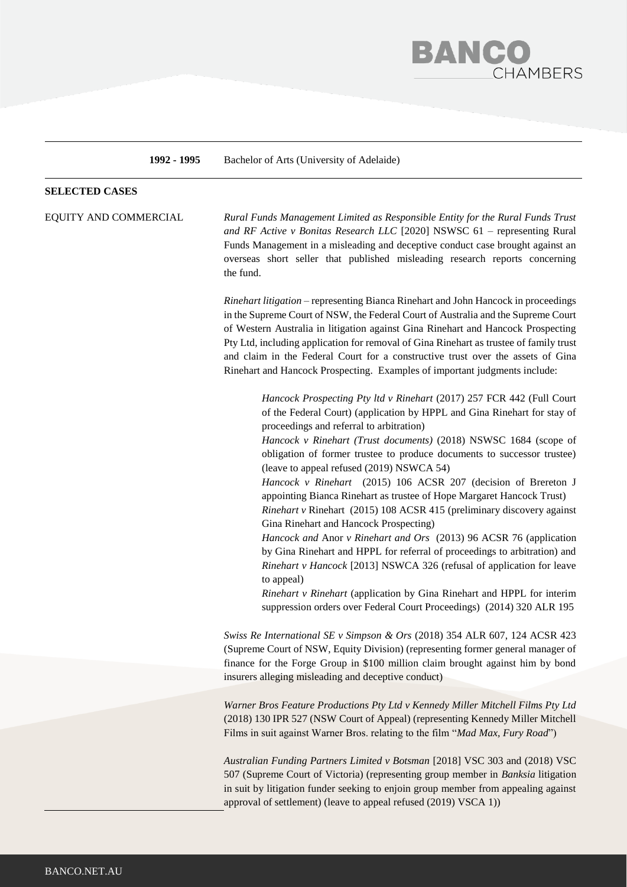

**1992 - 1995** Bachelor of Arts (University of Adelaide)

#### **SELECTED CASES**

EQUITY AND COMMERCIAL *Rural Funds Management Limited as Responsible Entity for the Rural Funds Trust and RF Active v Bonitas Research LLC* [2020] NSWSC 61 – representing Rural Funds Management in a misleading and deceptive conduct case brought against an overseas short seller that published misleading research reports concerning the fund.

> *Rinehart litigation* – representing Bianca Rinehart and John Hancock in proceedings in the Supreme Court of NSW, the Federal Court of Australia and the Supreme Court of Western Australia in litigation against Gina Rinehart and Hancock Prospecting Pty Ltd, including application for removal of Gina Rinehart as trustee of family trust and claim in the Federal Court for a constructive trust over the assets of Gina Rinehart and Hancock Prospecting. Examples of important judgments include:

> > *Hancock Prospecting Pty ltd v Rinehart* (2017) 257 FCR 442 (Full Court of the Federal Court) (application by HPPL and Gina Rinehart for stay of proceedings and referral to arbitration)

> > *Hancock v Rinehart (Trust documents)* (2018) NSWSC 1684 (scope of obligation of former trustee to produce documents to successor trustee) (leave to appeal refused (2019) NSWCA 54)

> > *Hancock v Rinehart* [\(2015\) 106 ACSR 207](http://www.austlii.edu.au/au/cases/nsw/NSWSC/2015/646.html) (decision of Brereton J appointing Bianca Rinehart as trustee of Hope Margaret Hancock Trust)

> > *Rinehart v* Rinehart [\(2015\) 108 ACSR 415](https://www.caselaw.nsw.gov.au/decision/55dbe465e4b0a95dbff9e203) (preliminary discovery against Gina Rinehart and Hancock Prospecting)

> > *Hancock and* Anor *v Rinehart and Ors* [\(2013\) 96 ACSR 76](http://www.austlii.edu.au/cgi-bin/sinodisp/au/cases/nsw/NSWSC/2013/1352.html?query=) (application by Gina Rinehart and HPPL for referral of proceedings to arbitration) and *Rinehart v Hancock* [2013] NSWCA 326 (refusal of application for leave to appeal)

> > *Rinehart v Rinehart* (application by Gina Rinehart and HPPL for interim suppression orders over Federal Court Proceedings) [\(2014\) 320 ALR 195](http://www.judgments.fedcourt.gov.au/judgments/Judgments/fca/single/2014/2014fca1241)

*Swiss Re International SE v Simpson & Ors* (2018) 354 ALR 607, 124 ACSR 423 (Supreme Court of NSW, Equity Division) (representing former general manager of finance for the Forge Group in \$100 million claim brought against him by bond insurers alleging misleading and deceptive conduct)

*Warner Bros Feature Productions Pty Ltd v Kennedy Miller Mitchell Films Pty Ltd*  (2018) 130 IPR 527 (NSW Court of Appeal) (representing Kennedy Miller Mitchell Films in suit against Warner Bros. relating to the film "*Mad Max, Fury Road*")

*Australian Funding Partners Limited v Botsman* [2018] VSC 303 and (2018) VSC 507 (Supreme Court of Victoria) (representing group member in *Banksia* litigation in suit by litigation funder seeking to enjoin group member from appealing against approval of settlement) (leave to appeal refused (2019) VSCA 1))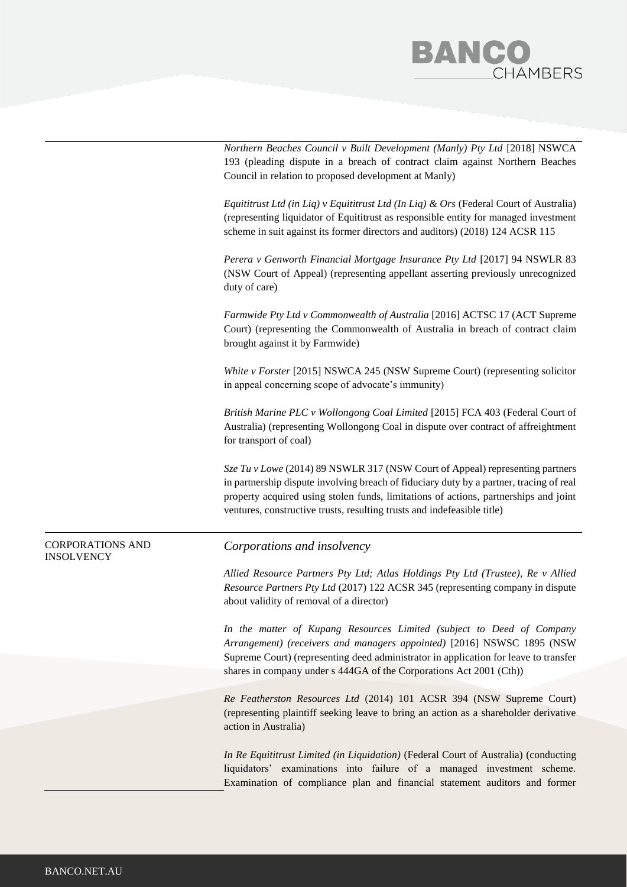## **BANC HAMBERS**

*Northern Beaches Council v Built Development (Manly) Pty Ltd [2018] NSWCA* 193 (pleading dispute in a breach of contract claim against Northern Beaches Council in relation to proposed development at Manly)

*Equititrust Ltd (in Liq) v Equititrust Ltd (In Liq) & Ors* (Federal Court of Australia) (representing liquidator of Equititrust as responsible entity for managed investment scheme in suit against its former directors and auditors) (2018) 124 ACSR 115

*Perera v Genworth Financial Mortgage Insurance Pty Ltd* [2017] 94 NSWLR 83 (NSW Court of Appeal) (representing appellant asserting previously unrecognized duty of care)

*Farmwide [Pty Ltd v Commonwealth of Australia](http://www.courts.act.gov.au/resources/attachments/Farmwide_.pdf)* [2016] ACTSC 17 (ACT Supreme Court) (representing the Commonwealth of Australia in breach of contract claim brought against it by Farmwide)

*White v Forster* [\[2015\] NSWCA 245 \(](https://www.caselaw.nsw.gov.au/decision/55d52cc2e4b0a95dbff9dedd)NSW Supreme Court) (representing solicitor in appeal concerning scope of advocate's immunity)

*British Marine PLC v Wollongong Coal Limited* [2015] FCA 403 (Federal Court of Australia) (representing Wollongong Coal in dispute over contract of affreightment for transport of coal)

*Sze Tu v Lowe* [\(2014\) 89 NSWLR 317](https://www.caselaw.nsw.gov.au/decision/54a640013004de94513dcaf5) (NSW Court of Appeal) representing partners in partnership dispute involving breach of fiduciary duty by a partner, tracing of real property acquired using stolen funds, limitations of actions, partnerships and joint ventures, constructive trusts, resulting trusts and indefeasible title)

#### CORPORATIONS AND INSOLVENCY

#### *Corporations and insolvency*

*Allied Resource Partners Pty Ltd; Atlas Holdings Pty Ltd (Trustee), Re v Allied Resource Partners Pty Ltd* (2017) 122 ACSR 345 (representing company in dispute about validity of removal of a director)

*In the matter of Kupang Resources Limited (subject to Deed of Company Arrangement) (receivers and managers appointed)* [2016] NSWSC 1895 (NSW Supreme Court) (representing deed administrator in application for leave to transfer shares in company under s 444GA of the Corporations Act 2001 (Cth))

*Re Featherston Resources Ltd* (2014) 101 ACSR 394 (NSW Supreme Court) (representing plaintiff seeking leave to bring an action as a shareholder derivative action in Australia)

*In Re Equititrust Limited (in Liquidation)* (Federal Court of Australia) (conducting liquidators' examinations into failure of a managed investment scheme. Examination of compliance plan and financial statement auditors and former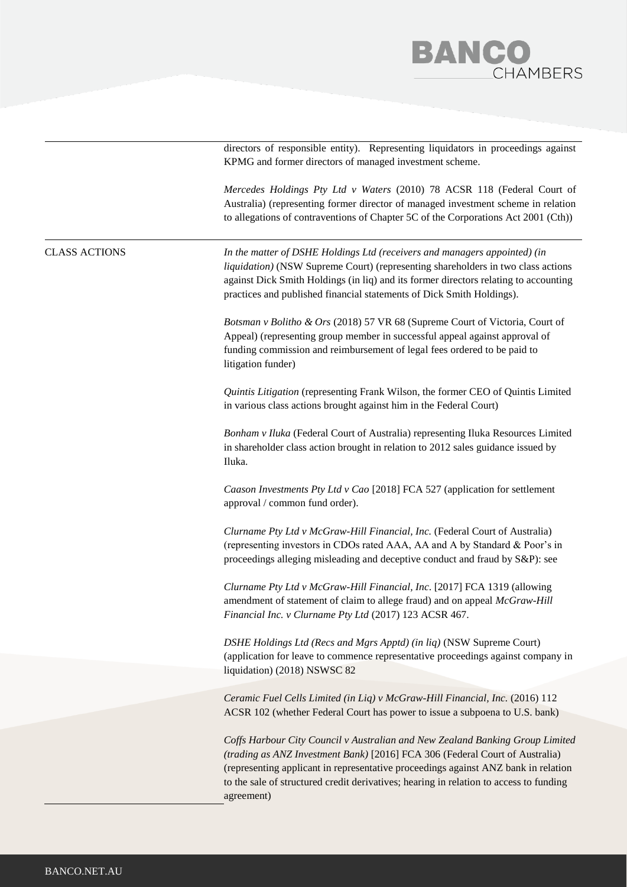

directors of responsible entity). Representing liquidators in proceedings against KPMG and former directors of managed investment scheme.

*Mercedes Holdings Pty Ltd v Waters* (2010) 78 ACSR 118 (Federal Court of Australia) (representing former director of managed investment scheme in relation to allegations of contraventions of Chapter 5C of the Corporations Act 2001 (Cth))

### CLASS ACTIONS *In the matter of DSHE Holdings Ltd (receivers and managers appointed) (in liquidation)* (NSW Supreme Court) (representing shareholders in two class actions against Dick Smith Holdings (in liq) and its former directors relating to accounting practices and published financial statements of Dick Smith Holdings). *Botsman v Bolitho & Ors* (2018) 57 VR 68 (Supreme Court of Victoria, Court of Appeal) (representing group member in successful appeal against approval of funding commission and reimbursement of legal fees ordered to be paid to litigation funder) *Quintis Litigation* (representing Frank Wilson, the former CEO of Quintis Limited in various class actions brought against him in the Federal Court) *Bonham v Iluka* (Federal Court of Australia) representing Iluka Resources Limited in shareholder class action brought in relation to 2012 sales guidance issued by Iluka. *Caason Investments Pty Ltd v Cao* [2018] FCA 527 (application for settlement approval / common fund order). *Clurname Pty Ltd v McGraw-Hill Financial, Inc.* (Federal Court of Australia) (representing investors in CDOs rated AAA, AA and A by Standard & Poor's in proceedings alleging misleading and deceptive conduct and fraud by S&P): see *Clurname Pty Ltd v McGraw-Hill Financial, Inc*. [2017] FCA 1319 (allowing amendment of statement of claim to allege fraud) and on appeal *McGraw-Hill Financial Inc. v Clurname Pty Ltd* (2017) 123 ACSR 467. *DSHE Holdings Ltd (Recs and Mgrs Apptd) (in liq)* (NSW Supreme Court) (application for leave to commence representative proceedings against company in liquidation) (2018) NSWSC 82 *Ceramic Fuel Cells Limited (in Liq) v McGraw-Hill Financial, Inc.* (2016) 112 ACSR 102 (whether Federal Court has power to issue a subpoena to U.S. bank) *[Coffs Harbour City Council v Australian and New Zealand Banking Group Limited](http://www.judgments.fedcourt.gov.au/judgments/Judgments/fca/single/2016/2016fca0306)  [\(trading as ANZ Investment Bank\)](http://www.judgments.fedcourt.gov.au/judgments/Judgments/fca/single/2016/2016fca0306)* [2016] FCA 306 (Federal Court of Australia) (representing applicant in representative proceedings against ANZ bank in relation to the sale of structured credit derivatives; hearing in relation to access to funding agreement)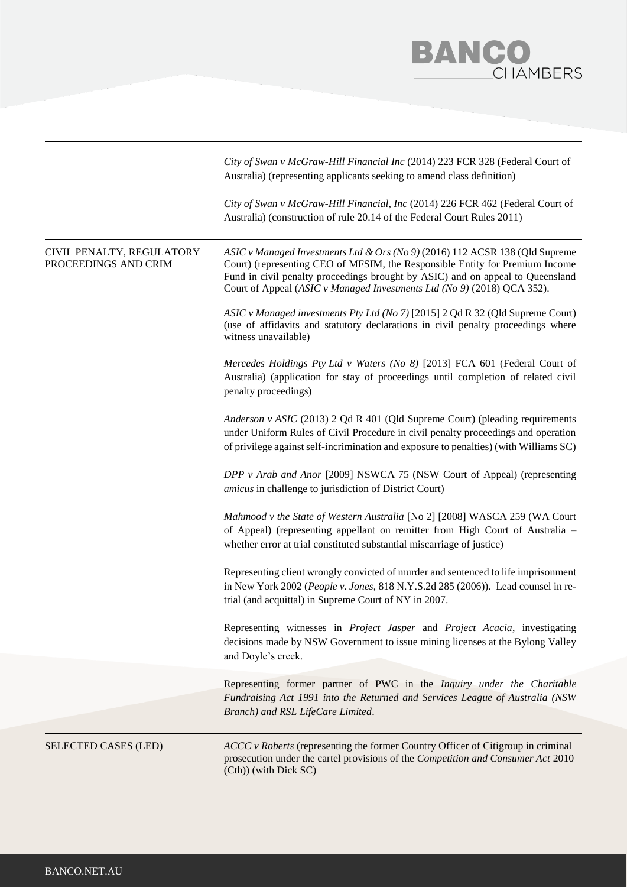# **BANCO**<br>CHAMBERS

|                                                   | City of Swan v McGraw-Hill Financial Inc (2014) 223 FCR 328 (Federal Court of<br>Australia) (representing applicants seeking to amend class definition)                                                                                                                                                                   |
|---------------------------------------------------|---------------------------------------------------------------------------------------------------------------------------------------------------------------------------------------------------------------------------------------------------------------------------------------------------------------------------|
|                                                   | City of Swan v McGraw-Hill Financial, Inc (2014) 226 FCR 462 (Federal Court of<br>Australia) (construction of rule 20.14 of the Federal Court Rules 2011)                                                                                                                                                                 |
| CIVIL PENALTY, REGULATORY<br>PROCEEDINGS AND CRIM | ASIC v Managed Investments Ltd & Ors (No 9) (2016) 112 ACSR 138 (Qld Supreme<br>Court) (representing CEO of MFSIM, the Responsible Entity for Premium Income<br>Fund in civil penalty proceedings brought by ASIC) and on appeal to Queensland<br>Court of Appeal (ASIC v Managed Investments Ltd (No 9) (2018) QCA 352). |
|                                                   | ASIC v Managed investments Pty Ltd (No 7) [2015] 2 Qd R 32 (Qld Supreme Court)<br>(use of affidavits and statutory declarations in civil penalty proceedings where<br>witness unavailable)                                                                                                                                |
|                                                   | Mercedes Holdings Pty Ltd v Waters (No 8) [2013] FCA 601 (Federal Court of<br>Australia) (application for stay of proceedings until completion of related civil<br>penalty proceedings)                                                                                                                                   |
|                                                   | Anderson v ASIC (2013) 2 Qd R 401 (Qld Supreme Court) (pleading requirements<br>under Uniform Rules of Civil Procedure in civil penalty proceedings and operation<br>of privilege against self-incrimination and exposure to penalties) (with Williams SC)                                                                |
|                                                   | DPP v Arab and Anor [2009] NSWCA 75 (NSW Court of Appeal) (representing<br>amicus in challenge to jurisdiction of District Court)                                                                                                                                                                                         |
|                                                   | Mahmood v the State of Western Australia [No 2] [2008] WASCA 259 (WA Court<br>of Appeal) (representing appellant on remitter from High Court of Australia -<br>whether error at trial constituted substantial miscarriage of justice)                                                                                     |
|                                                   | Representing client wrongly convicted of murder and sentenced to life imprisonment<br>in New York 2002 (People v. Jones, 818 N.Y.S.2d 285 (2006)). Lead counsel in re-<br>trial (and acquittal) in Supreme Court of NY in 2007.                                                                                           |
|                                                   | Representing witnesses in <i>Project Jasper</i> and <i>Project Acacia</i> , investigating<br>decisions made by NSW Government to issue mining licenses at the Bylong Valley<br>and Doyle's creek.                                                                                                                         |
|                                                   | Representing former partner of PWC in the <i>Inquiry under the Charitable</i><br>Fundraising Act 1991 into the Returned and Services League of Australia (NSW)<br>Branch) and RSL LifeCare Limited.                                                                                                                       |
|                                                   |                                                                                                                                                                                                                                                                                                                           |
| SELECTED CASES (LED)                              | $ACCC$ v Roberts (representing the former Country Officer of Citigroup in criminal<br>prosecution under the cartel provisions of the Competition and Consumer Act 2010<br>(Cth)) (with Dick SC)                                                                                                                           |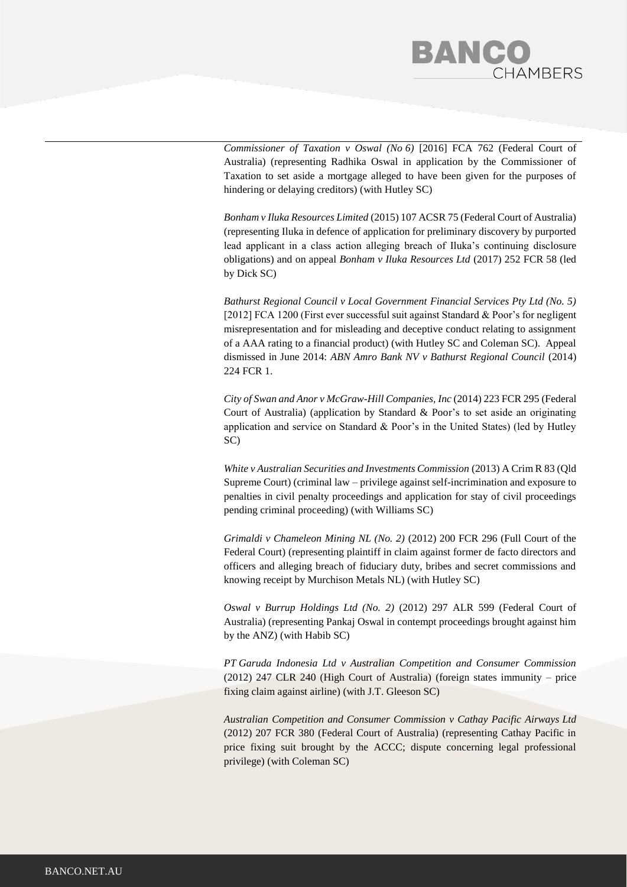# **BANC HAMBERS**

*[Commissioner of Taxation v Oswal \(No](http://www.judgments.fedcourt.gov.au/judgments/Judgments/fca/single/2016/2016fca0762) 6)* [2016] FCA 762 (Federal Court of Australia) (representing Radhika Oswal in application by the Commissioner of Taxation to set aside a mortgage alleged to have been given for the purposes of hindering or delaying creditors) (with Hutley SC)

*[Bonham v Iluka Resources Limited](http://www.judgments.fedcourt.gov.au/judgments/Judgments/fca/single/2015/2015fca0713)* (2015) 107 ACSR 75 (Federal Court of Australia) (representing Iluka in defence of application for preliminary discovery by purported lead applicant in a class action alleging breach of Iluka's continuing disclosure obligations) and on appeal *Bonham v Iluka Resources Ltd* (2017) 252 FCR 58 (led by Dick SC)

*Bathurst Regional Council v Local Government Financial Services Pty Ltd (No. 5)*  [2012] FCA 1200 (First ever successful suit against Standard & Poor's for negligent misrepresentation and for misleading and deceptive conduct relating to assignment of a AAA rating to a financial product) (with Hutley SC and Coleman SC). Appeal dismissed in June 2014: *ABN Amro Bank NV v Bathurst Regional Council* [\(2014\)](http://www.lexisnexis.com/au/legal/search/runRemoteLink.do?A=0.922686122428235&bct=A&service=citation&risb=21_T21482752583&langcountry=AU&linkInfo=F%23AU%23ALR%23vol%25309%25sel1%252014%25page%25445%25year%252014%25sel2%25309%25decisiondate%252014%25) [224 FCR 1.](http://www.lexisnexis.com/au/legal/search/runRemoteLink.do?A=0.922686122428235&bct=A&service=citation&risb=21_T21482752583&langcountry=AU&linkInfo=F%23AU%23ALR%23vol%25309%25sel1%252014%25page%25445%25year%252014%25sel2%25309%25decisiondate%252014%25)

*[City of Swan and Anor v McGraw-Hill Companies, Inc](http://www.judgments.fedcourt.gov.au/judgments/Judgments/fca/single/2014/2014fca0442)* (2014) 223 FCR 295 (Federal Court of Australia) (application by Standard & Poor's to set aside an originating application and service on Standard & Poor's in the United States) (led by Hutley SC)

*White v Australian Securities and Investments Commission* (2013) A Crim R 83 (Qld Supreme Court) (criminal law – privilege against self-incrimination and exposure to penalties in civil penalty proceedings and application for stay of civil proceedings pending criminal proceeding) (with Williams SC)

*Grimaldi v Chameleon Mining NL (No. 2)* (2012) 200 FCR 296 (Full Court of the Federal Court) (representing plaintiff in claim against former de facto directors and officers and alleging breach of fiduciary duty, bribes and secret commissions and knowing receipt by Murchison Metals NL) (with Hutley SC)

*Oswal v Burrup Holdings Ltd (No. 2)* (2012) 297 ALR 599 (Federal Court of Australia) (representing Pankaj Oswal in contempt proceedings brought against him by the ANZ) (with Habib SC)

*PT Garuda Indonesia Ltd v Australian Competition and Consumer Commission*  (2012) 247 CLR 240 (High Court of Australia) (foreign states immunity – price fixing claim against airline) (with J.T. Gleeson SC)

*Australian Competition and Consumer Commission v Cathay Pacific Airways Ltd* (2012) 207 FCR 380 (Federal Court of Australia) (representing Cathay Pacific in price fixing suit brought by the ACCC; dispute concerning legal professional privilege) (with Coleman SC)